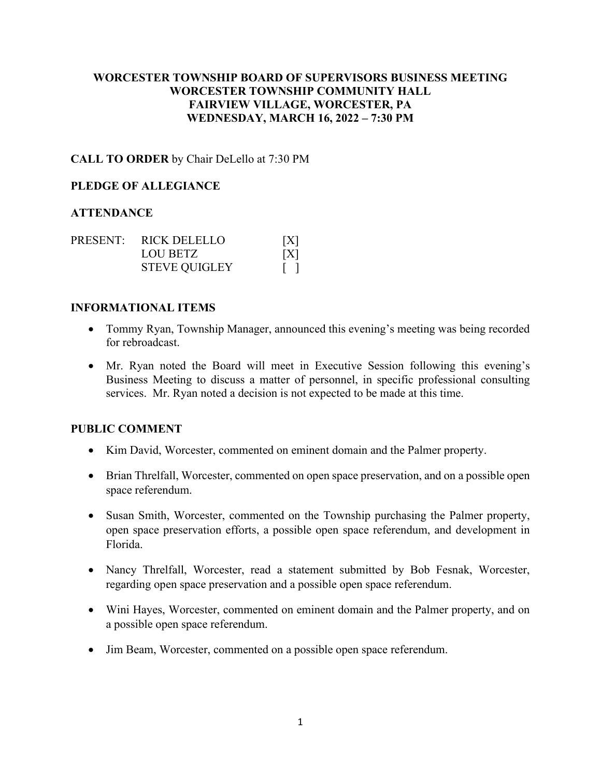## **WORCESTER TOWNSHIP BOARD OF SUPERVISORS BUSINESS MEETING WORCESTER TOWNSHIP COMMUNITY HALL FAIRVIEW VILLAGE, WORCESTER, PA WEDNESDAY, MARCH 16, 2022 – 7:30 PM**

### **CALL TO ORDER** by Chair DeLello at 7:30 PM

### **PLEDGE OF ALLEGIANCE**

### **ATTENDANCE**

|  | PRESENT: RICK DELELLO | X   |
|--|-----------------------|-----|
|  | LOU BETZ              | [X] |
|  | <b>STEVE QUIGLEY</b>  |     |

### **INFORMATIONAL ITEMS**

- Tommy Ryan, Township Manager, announced this evening's meeting was being recorded for rebroadcast.
- Mr. Ryan noted the Board will meet in Executive Session following this evening's Business Meeting to discuss a matter of personnel, in specific professional consulting services. Mr. Ryan noted a decision is not expected to be made at this time.

### **PUBLIC COMMENT**

- Kim David, Worcester, commented on eminent domain and the Palmer property.
- Brian Threlfall, Worcester, commented on open space preservation, and on a possible open space referendum.
- Susan Smith, Worcester, commented on the Township purchasing the Palmer property, open space preservation efforts, a possible open space referendum, and development in Florida.
- Nancy Threlfall, Worcester, read a statement submitted by Bob Fesnak, Worcester, regarding open space preservation and a possible open space referendum.
- Wini Hayes, Worcester, commented on eminent domain and the Palmer property, and on a possible open space referendum.
- Jim Beam, Worcester, commented on a possible open space referendum.